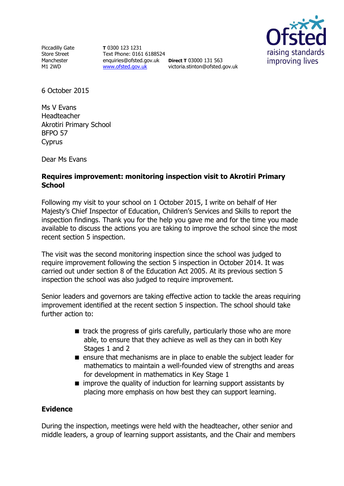Piccadilly Gate Store Street Manchester M1 2WD

**T** 0300 123 1231 Text Phone: 0161 6188524 enquiries@ofsted.gov.uk **Direct T** 03000 131 563 [www.ofsted.gov.uk](http://www.ofsted.gov.uk/)

victoria.stinton@ofsted.gov.uk



6 October 2015

Ms V Evans Headteacher Akrotiri Primary School BFPO 57 Cyprus

Dear Ms Evans

## **Requires improvement: monitoring inspection visit to Akrotiri Primary School**

Following my visit to your school on 1 October 2015, I write on behalf of Her Majesty's Chief Inspector of Education, Children's Services and Skills to report the inspection findings. Thank you for the help you gave me and for the time you made available to discuss the actions you are taking to improve the school since the most recent section 5 inspection.

The visit was the second monitoring inspection since the school was judged to require improvement following the section 5 inspection in October 2014. It was carried out under section 8 of the Education Act 2005. At its previous section 5 inspection the school was also judged to require improvement.

Senior leaders and governors are taking effective action to tackle the areas requiring improvement identified at the recent section 5 inspection. The school should take further action to:

- $\blacksquare$  track the progress of girls carefully, particularly those who are more able, to ensure that they achieve as well as they can in both Key Stages 1 and 2
- **E** ensure that mechanisms are in place to enable the subject leader for mathematics to maintain a well-founded view of strengths and areas for development in mathematics in Key Stage 1
- $\blacksquare$  improve the quality of induction for learning support assistants by placing more emphasis on how best they can support learning.

### **Evidence**

During the inspection, meetings were held with the headteacher, other senior and middle leaders, a group of learning support assistants, and the Chair and members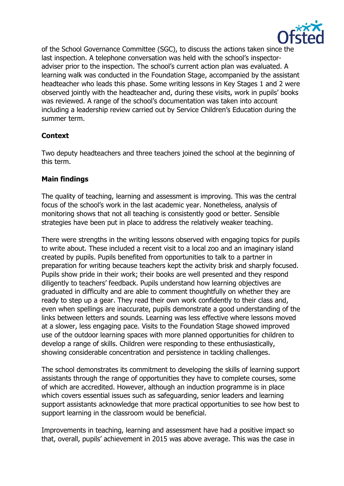

of the School Governance Committee (SGC), to discuss the actions taken since the last inspection. A telephone conversation was held with the school's inspectoradviser prior to the inspection. The school's current action plan was evaluated. A learning walk was conducted in the Foundation Stage, accompanied by the assistant headteacher who leads this phase. Some writing lessons in Key Stages 1 and 2 were observed jointly with the headteacher and, during these visits, work in pupils' books was reviewed. A range of the school's documentation was taken into account including a leadership review carried out by Service Children's Education during the summer term.

# **Context**

Two deputy headteachers and three teachers joined the school at the beginning of this term.

# **Main findings**

The quality of teaching, learning and assessment is improving. This was the central focus of the school's work in the last academic year. Nonetheless, analysis of monitoring shows that not all teaching is consistently good or better. Sensible strategies have been put in place to address the relatively weaker teaching.

There were strengths in the writing lessons observed with engaging topics for pupils to write about. These included a recent visit to a local zoo and an imaginary island created by pupils. Pupils benefited from opportunities to talk to a partner in preparation for writing because teachers kept the activity brisk and sharply focused. Pupils show pride in their work; their books are well presented and they respond diligently to teachers' feedback. Pupils understand how learning objectives are graduated in difficulty and are able to comment thoughtfully on whether they are ready to step up a gear. They read their own work confidently to their class and, even when spellings are inaccurate, pupils demonstrate a good understanding of the links between letters and sounds. Learning was less effective where lessons moved at a slower, less engaging pace. Visits to the Foundation Stage showed improved use of the outdoor learning spaces with more planned opportunities for children to develop a range of skills. Children were responding to these enthusiastically, showing considerable concentration and persistence in tackling challenges.

The school demonstrates its commitment to developing the skills of learning support assistants through the range of opportunities they have to complete courses, some of which are accredited. However, although an induction programme is in place which covers essential issues such as safeguarding, senior leaders and learning support assistants acknowledge that more practical opportunities to see how best to support learning in the classroom would be beneficial.

Improvements in teaching, learning and assessment have had a positive impact so that, overall, pupils' achievement in 2015 was above average. This was the case in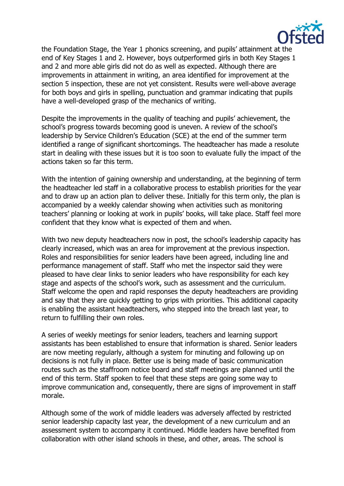

the Foundation Stage, the Year 1 phonics screening, and pupils' attainment at the end of Key Stages 1 and 2. However, boys outperformed girls in both Key Stages 1 and 2 and more able girls did not do as well as expected. Although there are improvements in attainment in writing, an area identified for improvement at the section 5 inspection, these are not yet consistent. Results were well-above average for both boys and girls in spelling, punctuation and grammar indicating that pupils have a well-developed grasp of the mechanics of writing.

Despite the improvements in the quality of teaching and pupils' achievement, the school's progress towards becoming good is uneven. A review of the school's leadership by Service Children's Education (SCE) at the end of the summer term identified a range of significant shortcomings. The headteacher has made a resolute start in dealing with these issues but it is too soon to evaluate fully the impact of the actions taken so far this term.

With the intention of gaining ownership and understanding, at the beginning of term the headteacher led staff in a collaborative process to establish priorities for the year and to draw up an action plan to deliver these. Initially for this term only, the plan is accompanied by a weekly calendar showing when activities such as monitoring teachers' planning or looking at work in pupils' books, will take place. Staff feel more confident that they know what is expected of them and when.

With two new deputy headteachers now in post, the school's leadership capacity has clearly increased, which was an area for improvement at the previous inspection. Roles and responsibilities for senior leaders have been agreed, including line and performance management of staff. Staff who met the inspector said they were pleased to have clear links to senior leaders who have responsibility for each key stage and aspects of the school's work, such as assessment and the curriculum. Staff welcome the open and rapid responses the deputy headteachers are providing and say that they are quickly getting to grips with priorities. This additional capacity is enabling the assistant headteachers, who stepped into the breach last year, to return to fulfilling their own roles.

A series of weekly meetings for senior leaders, teachers and learning support assistants has been established to ensure that information is shared. Senior leaders are now meeting regularly, although a system for minuting and following up on decisions is not fully in place. Better use is being made of basic communication routes such as the staffroom notice board and staff meetings are planned until the end of this term. Staff spoken to feel that these steps are going some way to improve communication and, consequently, there are signs of improvement in staff morale.

Although some of the work of middle leaders was adversely affected by restricted senior leadership capacity last year, the development of a new curriculum and an assessment system to accompany it continued. Middle leaders have benefited from collaboration with other island schools in these, and other, areas. The school is